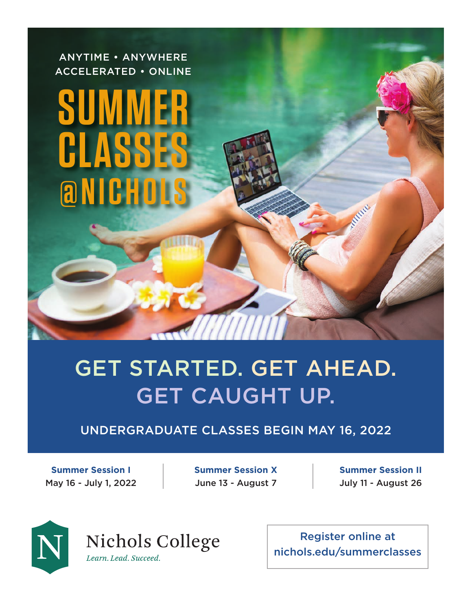ANYTIME • ANYWHERE ACCELERATED • ONLINE

# **SUM CLASSES @NICHI**

# GET STARTED. GET AHEAD. GET CAUGHT UP.

# UNDERGRADUATE CLASSES BEGIN MAY 16, 2022

**Summer Session I** May 16 - July 1, 2022 **Summer Session X** June 13 - August 7

**Summer Session II** July 11 - August 26



Nichols College Learn. Lead. Succeed.

Register online at nichols.edu/summerclasses